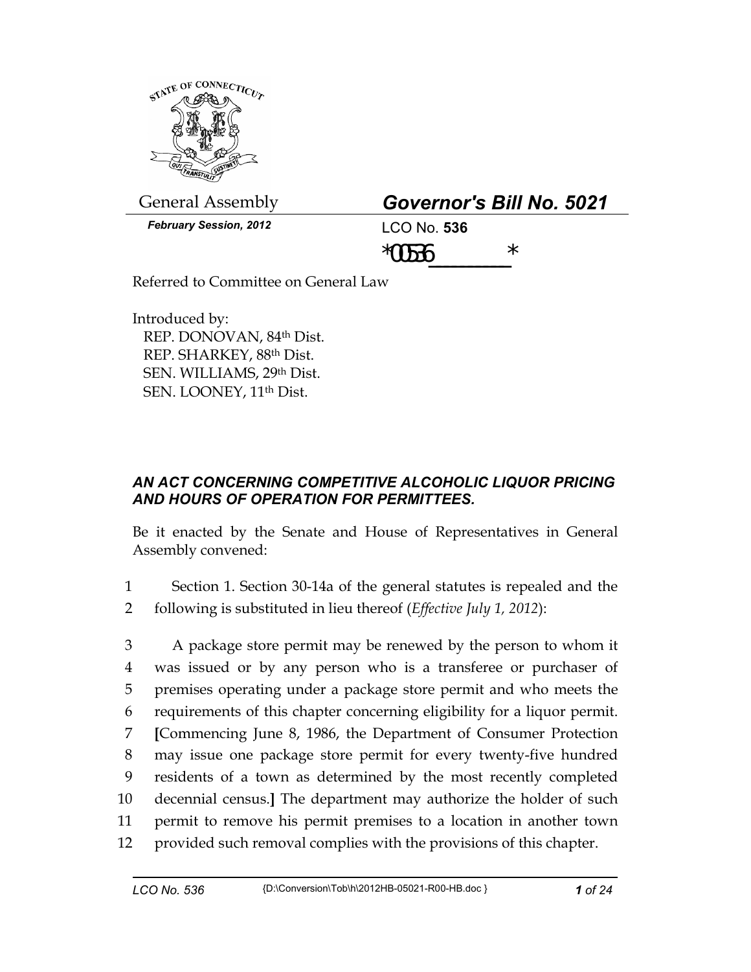

General Assembly *Governor's Bill No. 5021* 

| Governor's Bill No. 5021 |  |  |
|--------------------------|--|--|
|--------------------------|--|--|

*February Session, 2012* LCO No. **536**

 $*00536$  \*

Referred to Committee on General Law

Introduced by: REP. DONOVAN, 84th Dist. REP. SHARKEY, 88th Dist. SEN. WILLIAMS, 29th Dist. SEN. LOONEY, 11th Dist.

## *AN ACT CONCERNING COMPETITIVE ALCOHOLIC LIQUOR PRICING AND HOURS OF OPERATION FOR PERMITTEES.*

Be it enacted by the Senate and House of Representatives in General Assembly convened:

1 Section 1. Section 30-14a of the general statutes is repealed and the 2 following is substituted in lieu thereof (*Effective July 1, 2012*):

3 A package store permit may be renewed by the person to whom it 4 was issued or by any person who is a transferee or purchaser of 5 premises operating under a package store permit and who meets the 6 requirements of this chapter concerning eligibility for a liquor permit. 7 **[**Commencing June 8, 1986, the Department of Consumer Protection 8 may issue one package store permit for every twenty-five hundred 9 residents of a town as determined by the most recently completed 10 decennial census.**]** The department may authorize the holder of such 11 permit to remove his permit premises to a location in another town 12 provided such removal complies with the provisions of this chapter.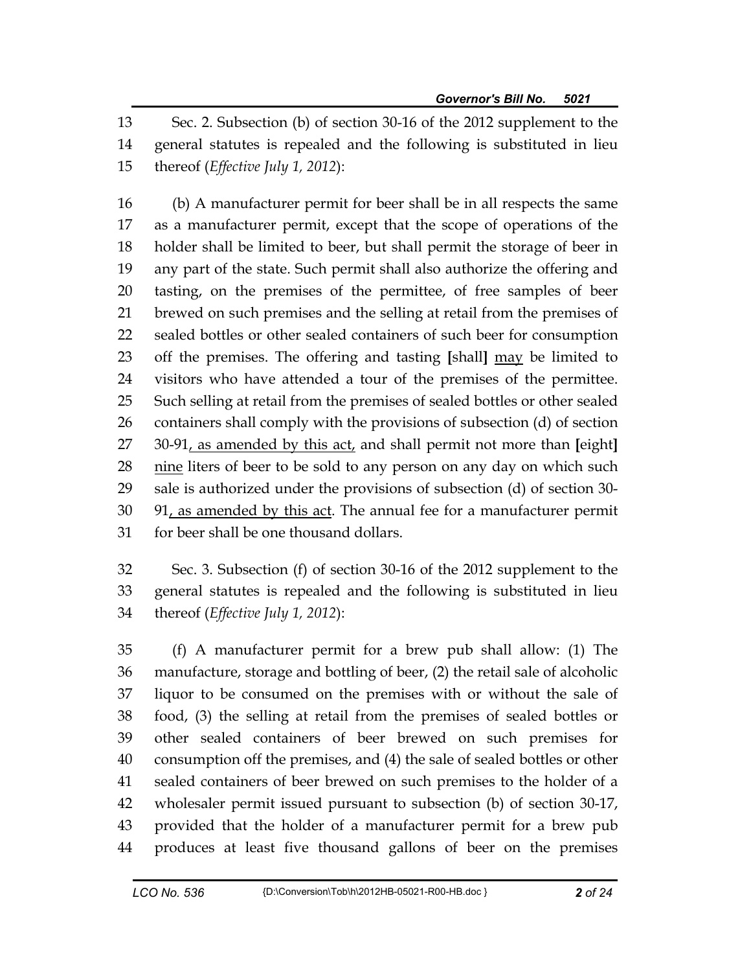13 Sec. 2. Subsection (b) of section 30-16 of the 2012 supplement to the 14 general statutes is repealed and the following is substituted in lieu 15 thereof (*Effective July 1, 2012*):

16 (b) A manufacturer permit for beer shall be in all respects the same 17 as a manufacturer permit, except that the scope of operations of the 18 holder shall be limited to beer, but shall permit the storage of beer in 19 any part of the state. Such permit shall also authorize the offering and 20 tasting, on the premises of the permittee, of free samples of beer 21 brewed on such premises and the selling at retail from the premises of 22 sealed bottles or other sealed containers of such beer for consumption 23 off the premises. The offering and tasting **[**shall**]** may be limited to 24 visitors who have attended a tour of the premises of the permittee. 25 Such selling at retail from the premises of sealed bottles or other sealed 26 containers shall comply with the provisions of subsection (d) of section 27 30-91, as amended by this act, and shall permit not more than **[**eight**]** 28 nine liters of beer to be sold to any person on any day on which such 29 sale is authorized under the provisions of subsection (d) of section 30- 30 91, as amended by this act. The annual fee for a manufacturer permit 31 for beer shall be one thousand dollars.

32 Sec. 3. Subsection (f) of section 30-16 of the 2012 supplement to the 33 general statutes is repealed and the following is substituted in lieu 34 thereof (*Effective July 1, 2012*):

35 (f) A manufacturer permit for a brew pub shall allow: (1) The 36 manufacture, storage and bottling of beer, (2) the retail sale of alcoholic 37 liquor to be consumed on the premises with or without the sale of 38 food, (3) the selling at retail from the premises of sealed bottles or 39 other sealed containers of beer brewed on such premises for 40 consumption off the premises, and (4) the sale of sealed bottles or other 41 sealed containers of beer brewed on such premises to the holder of a 42 wholesaler permit issued pursuant to subsection (b) of section 30-17, 43 provided that the holder of a manufacturer permit for a brew pub 44 produces at least five thousand gallons of beer on the premises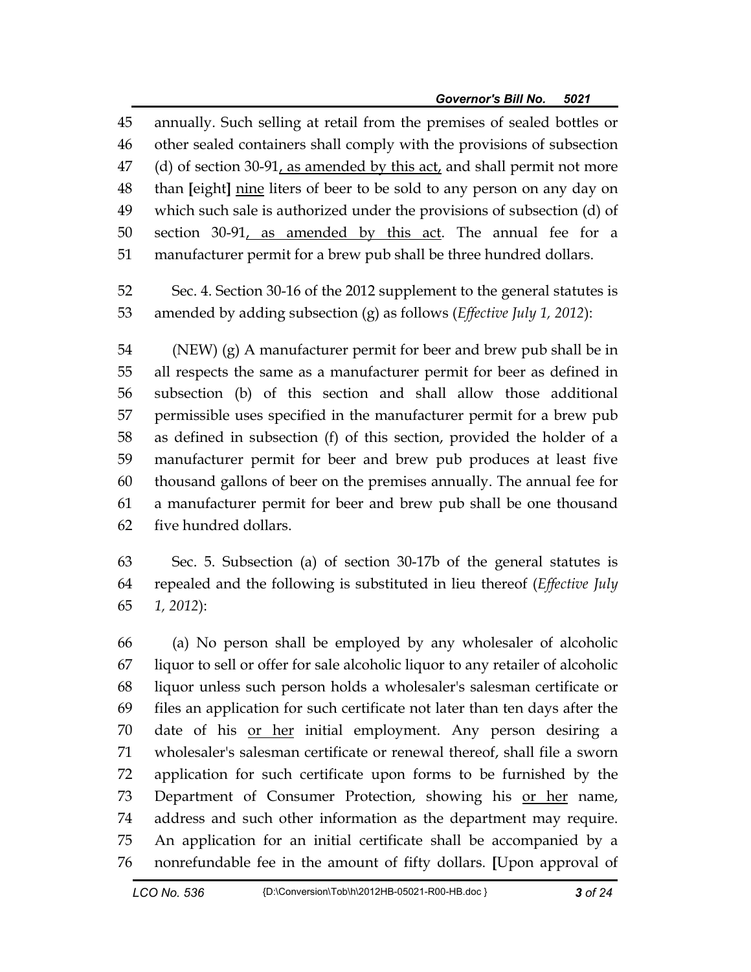45 annually. Such selling at retail from the premises of sealed bottles or 46 other sealed containers shall comply with the provisions of subsection  $47$  (d) of section 30-91, as amended by this act, and shall permit not more 48 than **[**eight**]** nine liters of beer to be sold to any person on any day on 49 which such sale is authorized under the provisions of subsection (d) of 50 section 30-91, as amended by this act. The annual fee for a 51 manufacturer permit for a brew pub shall be three hundred dollars.

52 Sec. 4. Section 30-16 of the 2012 supplement to the general statutes is 53 amended by adding subsection (g) as follows (*Effective July 1, 2012*):

54 (NEW) (g) A manufacturer permit for beer and brew pub shall be in 55 all respects the same as a manufacturer permit for beer as defined in 56 subsection (b) of this section and shall allow those additional 57 permissible uses specified in the manufacturer permit for a brew pub 58 as defined in subsection (f) of this section, provided the holder of a 59 manufacturer permit for beer and brew pub produces at least five 60 thousand gallons of beer on the premises annually. The annual fee for 61 a manufacturer permit for beer and brew pub shall be one thousand 62 five hundred dollars.

63 Sec. 5. Subsection (a) of section 30-17b of the general statutes is 64 repealed and the following is substituted in lieu thereof (*Effective July*  65 *1, 2012*):

66 (a) No person shall be employed by any wholesaler of alcoholic 67 liquor to sell or offer for sale alcoholic liquor to any retailer of alcoholic 68 liquor unless such person holds a wholesaler's salesman certificate or 69 files an application for such certificate not later than ten days after the 70 date of his or her initial employment. Any person desiring a 71 wholesaler's salesman certificate or renewal thereof, shall file a sworn 72 application for such certificate upon forms to be furnished by the 73 Department of Consumer Protection, showing his or her name, 74 address and such other information as the department may require. 75 An application for an initial certificate shall be accompanied by a 76 nonrefundable fee in the amount of fifty dollars. **[**Upon approval of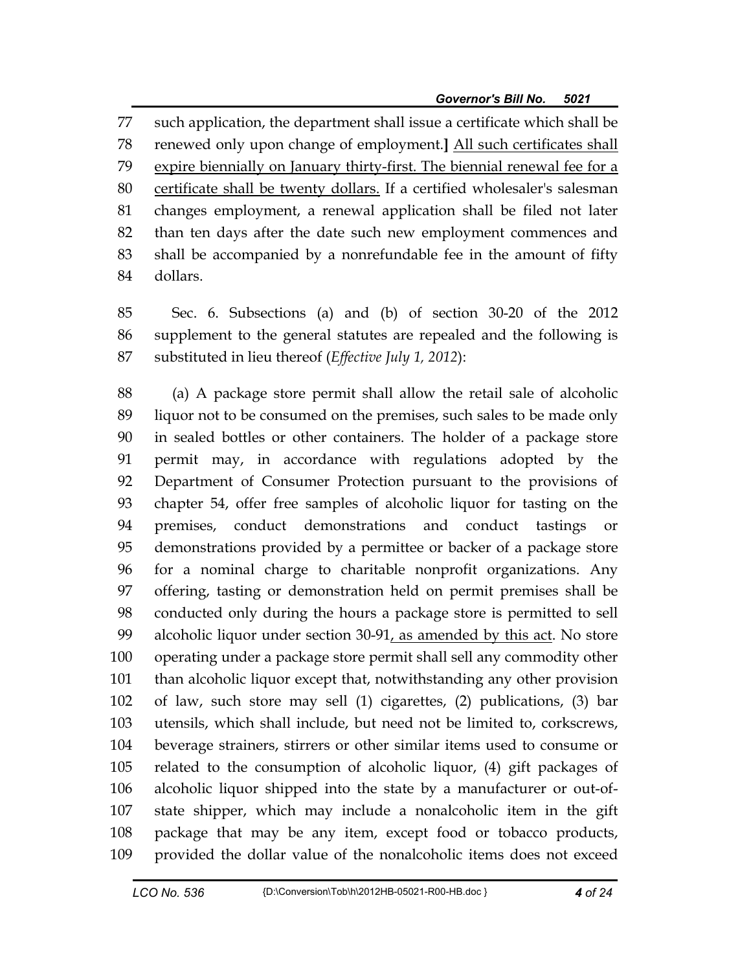77 such application, the department shall issue a certificate which shall be 78 renewed only upon change of employment.**]** All such certificates shall 79 expire biennially on January thirty-first. The biennial renewal fee for a 80 certificate shall be twenty dollars. If a certified wholesaler's salesman 81 changes employment, a renewal application shall be filed not later 82 than ten days after the date such new employment commences and 83 shall be accompanied by a nonrefundable fee in the amount of fifty 84 dollars.

85 Sec. 6. Subsections (a) and (b) of section 30-20 of the 2012 86 supplement to the general statutes are repealed and the following is 87 substituted in lieu thereof (*Effective July 1, 2012*):

88 (a) A package store permit shall allow the retail sale of alcoholic 89 liquor not to be consumed on the premises, such sales to be made only 90 in sealed bottles or other containers. The holder of a package store 91 permit may, in accordance with regulations adopted by the 92 Department of Consumer Protection pursuant to the provisions of 93 chapter 54, offer free samples of alcoholic liquor for tasting on the 94 premises, conduct demonstrations and conduct tastings or 95 demonstrations provided by a permittee or backer of a package store 96 for a nominal charge to charitable nonprofit organizations. Any 97 offering, tasting or demonstration held on permit premises shall be 98 conducted only during the hours a package store is permitted to sell 99 alcoholic liquor under section 30-91, as amended by this act. No store 100 operating under a package store permit shall sell any commodity other 101 than alcoholic liquor except that, notwithstanding any other provision 102 of law, such store may sell (1) cigarettes, (2) publications, (3) bar 103 utensils, which shall include, but need not be limited to, corkscrews, 104 beverage strainers, stirrers or other similar items used to consume or 105 related to the consumption of alcoholic liquor, (4) gift packages of 106 alcoholic liquor shipped into the state by a manufacturer or out-of-107 state shipper, which may include a nonalcoholic item in the gift 108 package that may be any item, except food or tobacco products, 109 provided the dollar value of the nonalcoholic items does not exceed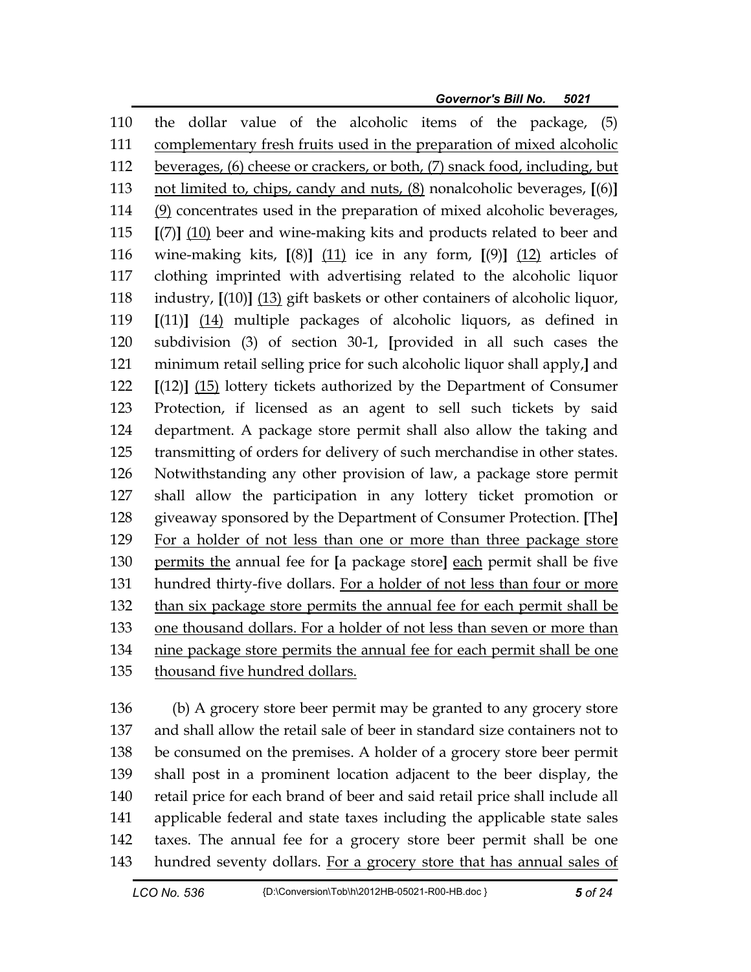*Governor's Bill No. 5021* 

110 the dollar value of the alcoholic items of the package, (5) 111 complementary fresh fruits used in the preparation of mixed alcoholic 112 beverages, (6) cheese or crackers, or both, (7) snack food, including, but 113 not limited to, chips, candy and nuts, (8) nonalcoholic beverages, **[**(6)**]** 114 (9) concentrates used in the preparation of mixed alcoholic beverages, 115 **[**(7)**]** (10) beer and wine-making kits and products related to beer and 116 wine-making kits, **[**(8)**]** (11) ice in any form, **[**(9)**]** (12) articles of 117 clothing imprinted with advertising related to the alcoholic liquor 118 industry, **[**(10)**]** (13) gift baskets or other containers of alcoholic liquor, 119 **[**(11)**]** (14) multiple packages of alcoholic liquors, as defined in 120 subdivision (3) of section 30-1, **[**provided in all such cases the 121 minimum retail selling price for such alcoholic liquor shall apply,**]** and 122 **[**(12)**]** (15) lottery tickets authorized by the Department of Consumer 123 Protection, if licensed as an agent to sell such tickets by said 124 department. A package store permit shall also allow the taking and 125 transmitting of orders for delivery of such merchandise in other states. 126 Notwithstanding any other provision of law, a package store permit 127 shall allow the participation in any lottery ticket promotion or 128 giveaway sponsored by the Department of Consumer Protection. **[**The**]** 129 For a holder of not less than one or more than three package store 130 permits the annual fee for **[**a package store**]** each permit shall be five 131 hundred thirty-five dollars. For a holder of not less than four or more 132 than six package store permits the annual fee for each permit shall be 133 one thousand dollars. For a holder of not less than seven or more than 134 nine package store permits the annual fee for each permit shall be one 135 thousand five hundred dollars.

136 (b) A grocery store beer permit may be granted to any grocery store 137 and shall allow the retail sale of beer in standard size containers not to 138 be consumed on the premises. A holder of a grocery store beer permit 139 shall post in a prominent location adjacent to the beer display, the 140 retail price for each brand of beer and said retail price shall include all 141 applicable federal and state taxes including the applicable state sales 142 taxes. The annual fee for a grocery store beer permit shall be one 143 hundred seventy dollars. For a grocery store that has annual sales of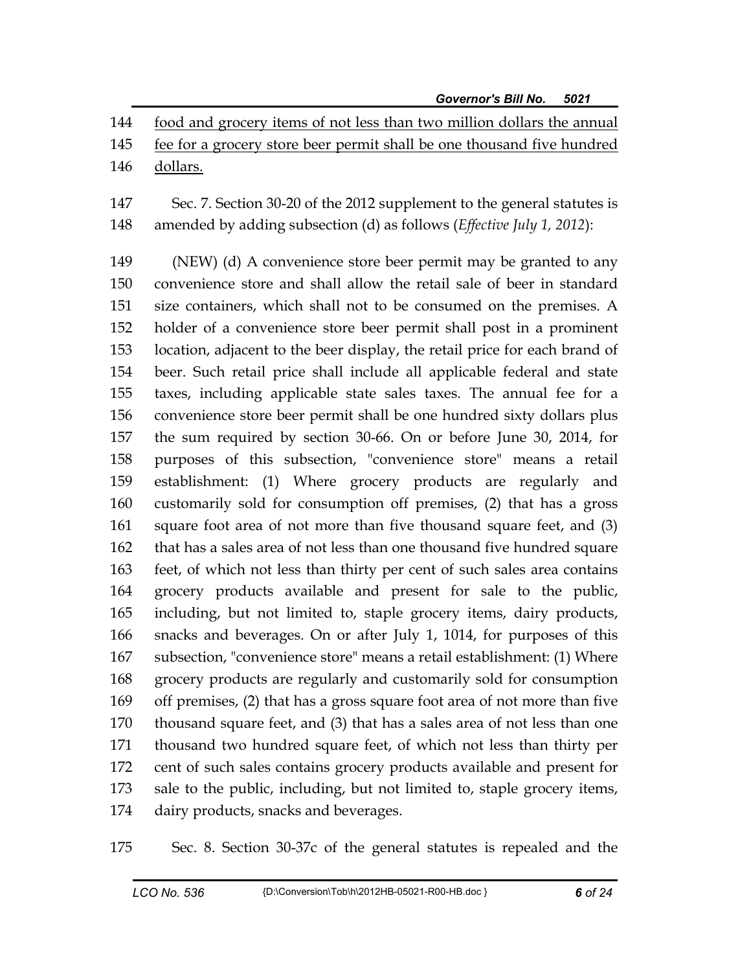144 food and grocery items of not less than two million dollars the annual

- 145 fee for a grocery store beer permit shall be one thousand five hundred 146 dollars.
- 147 Sec. 7. Section 30-20 of the 2012 supplement to the general statutes is 148 amended by adding subsection (d) as follows (*Effective July 1, 2012*):

149 (NEW) (d) A convenience store beer permit may be granted to any 150 convenience store and shall allow the retail sale of beer in standard 151 size containers, which shall not to be consumed on the premises. A 152 holder of a convenience store beer permit shall post in a prominent 153 location, adjacent to the beer display, the retail price for each brand of 154 beer. Such retail price shall include all applicable federal and state 155 taxes, including applicable state sales taxes. The annual fee for a 156 convenience store beer permit shall be one hundred sixty dollars plus 157 the sum required by section 30-66. On or before June 30, 2014, for 158 purposes of this subsection, "convenience store" means a retail 159 establishment: (1) Where grocery products are regularly and 160 customarily sold for consumption off premises, (2) that has a gross 161 square foot area of not more than five thousand square feet, and (3) 162 that has a sales area of not less than one thousand five hundred square 163 feet, of which not less than thirty per cent of such sales area contains 164 grocery products available and present for sale to the public, 165 including, but not limited to, staple grocery items, dairy products, 166 snacks and beverages. On or after July 1, 1014, for purposes of this 167 subsection, "convenience store" means a retail establishment: (1) Where 168 grocery products are regularly and customarily sold for consumption 169 off premises, (2) that has a gross square foot area of not more than five 170 thousand square feet, and (3) that has a sales area of not less than one 171 thousand two hundred square feet, of which not less than thirty per 172 cent of such sales contains grocery products available and present for 173 sale to the public, including, but not limited to, staple grocery items, 174 dairy products, snacks and beverages.

175 Sec. 8. Section 30-37c of the general statutes is repealed and the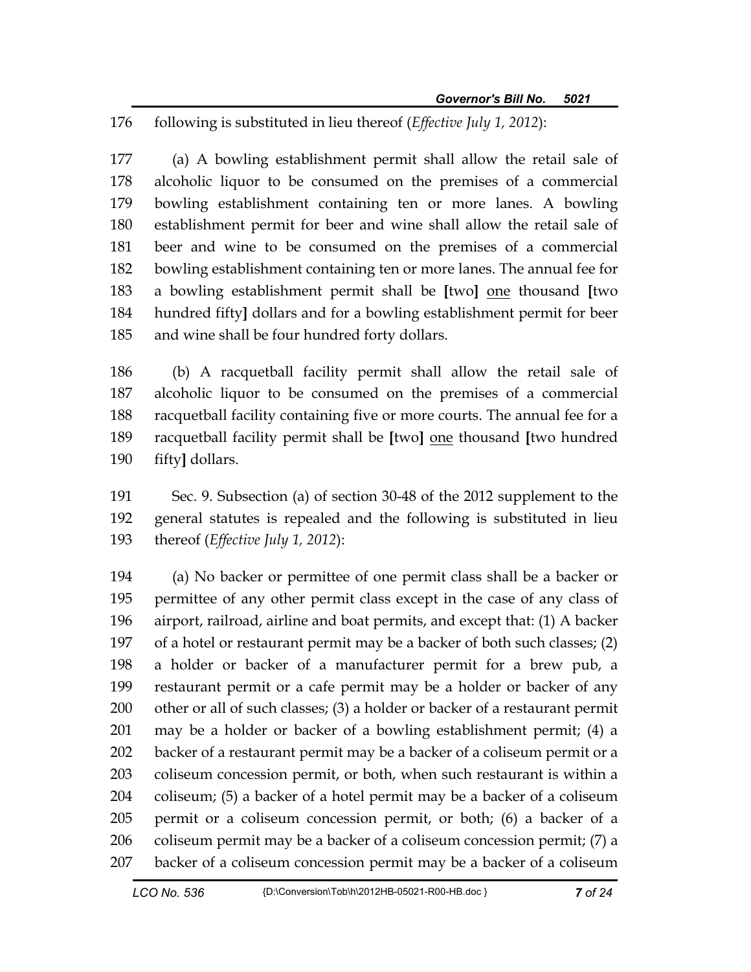176 following is substituted in lieu thereof (*Effective July 1, 2012*):

177 (a) A bowling establishment permit shall allow the retail sale of 178 alcoholic liquor to be consumed on the premises of a commercial 179 bowling establishment containing ten or more lanes. A bowling 180 establishment permit for beer and wine shall allow the retail sale of 181 beer and wine to be consumed on the premises of a commercial 182 bowling establishment containing ten or more lanes. The annual fee for 183 a bowling establishment permit shall be **[**two**]** one thousand **[**two 184 hundred fifty**]** dollars and for a bowling establishment permit for beer 185 and wine shall be four hundred forty dollars.

186 (b) A racquetball facility permit shall allow the retail sale of 187 alcoholic liquor to be consumed on the premises of a commercial 188 racquetball facility containing five or more courts. The annual fee for a 189 racquetball facility permit shall be **[**two**]** one thousand **[**two hundred 190 fifty**]** dollars.

191 Sec. 9. Subsection (a) of section 30-48 of the 2012 supplement to the 192 general statutes is repealed and the following is substituted in lieu 193 thereof (*Effective July 1, 2012*):

194 (a) No backer or permittee of one permit class shall be a backer or 195 permittee of any other permit class except in the case of any class of 196 airport, railroad, airline and boat permits, and except that: (1) A backer 197 of a hotel or restaurant permit may be a backer of both such classes; (2) 198 a holder or backer of a manufacturer permit for a brew pub, a 199 restaurant permit or a cafe permit may be a holder or backer of any 200 other or all of such classes; (3) a holder or backer of a restaurant permit 201 may be a holder or backer of a bowling establishment permit; (4) a 202 backer of a restaurant permit may be a backer of a coliseum permit or a 203 coliseum concession permit, or both, when such restaurant is within a 204 coliseum; (5) a backer of a hotel permit may be a backer of a coliseum 205 permit or a coliseum concession permit, or both; (6) a backer of a 206 coliseum permit may be a backer of a coliseum concession permit; (7) a 207 backer of a coliseum concession permit may be a backer of a coliseum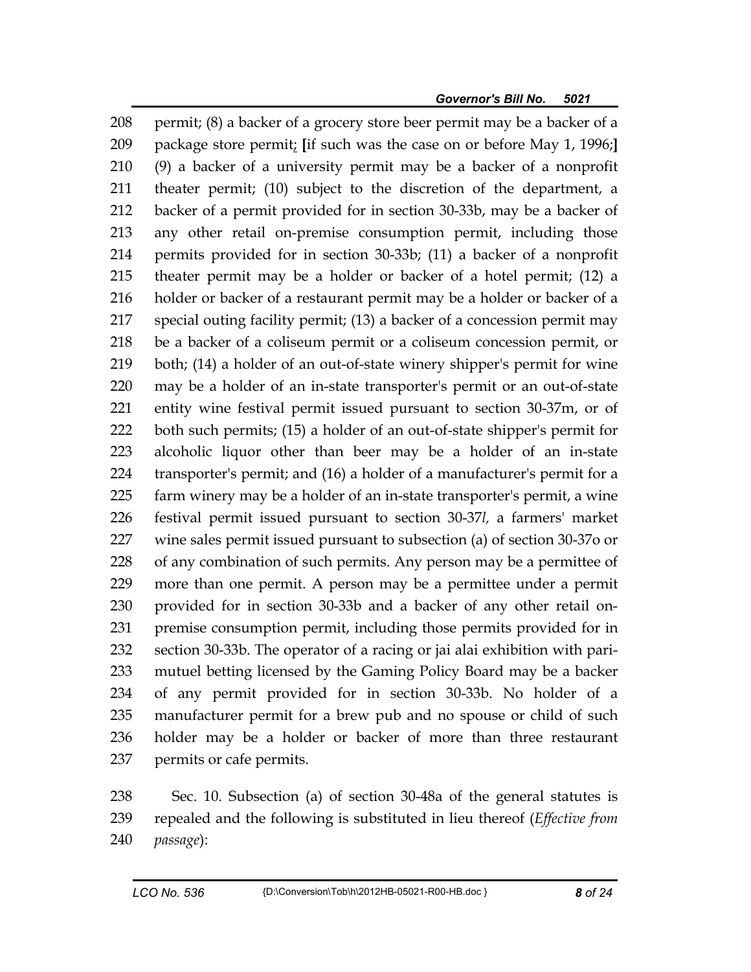208 permit; (8) a backer of a grocery store beer permit may be a backer of a 209 package store permit; **[**if such was the case on or before May 1, 1996;**]** 210 (9) a backer of a university permit may be a backer of a nonprofit 211 theater permit; (10) subject to the discretion of the department, a 212 backer of a permit provided for in section 30-33b, may be a backer of 213 any other retail on-premise consumption permit, including those 214 permits provided for in section 30-33b; (11) a backer of a nonprofit 215 theater permit may be a holder or backer of a hotel permit; (12) a 216 holder or backer of a restaurant permit may be a holder or backer of a 217 special outing facility permit; (13) a backer of a concession permit may 218 be a backer of a coliseum permit or a coliseum concession permit, or 219 both; (14) a holder of an out-of-state winery shipper's permit for wine 220 may be a holder of an in-state transporter's permit or an out-of-state 221 entity wine festival permit issued pursuant to section 30-37m, or of 222 both such permits; (15) a holder of an out-of-state shipper's permit for 223 alcoholic liquor other than beer may be a holder of an in-state 224 transporter's permit; and (16) a holder of a manufacturer's permit for a 225 farm winery may be a holder of an in-state transporter's permit, a wine 226 festival permit issued pursuant to section 30-37*l,* a farmers' market 227 wine sales permit issued pursuant to subsection (a) of section 30-37o or 228 of any combination of such permits. Any person may be a permittee of 229 more than one permit. A person may be a permittee under a permit 230 provided for in section 30-33b and a backer of any other retail on-231 premise consumption permit, including those permits provided for in 232 section 30-33b. The operator of a racing or jai alai exhibition with pari-233 mutuel betting licensed by the Gaming Policy Board may be a backer 234 of any permit provided for in section 30-33b. No holder of a 235 manufacturer permit for a brew pub and no spouse or child of such 236 holder may be a holder or backer of more than three restaurant 237 permits or cafe permits.

238 Sec. 10. Subsection (a) of section 30-48a of the general statutes is 239 repealed and the following is substituted in lieu thereof (*Effective from*  240 *passage*):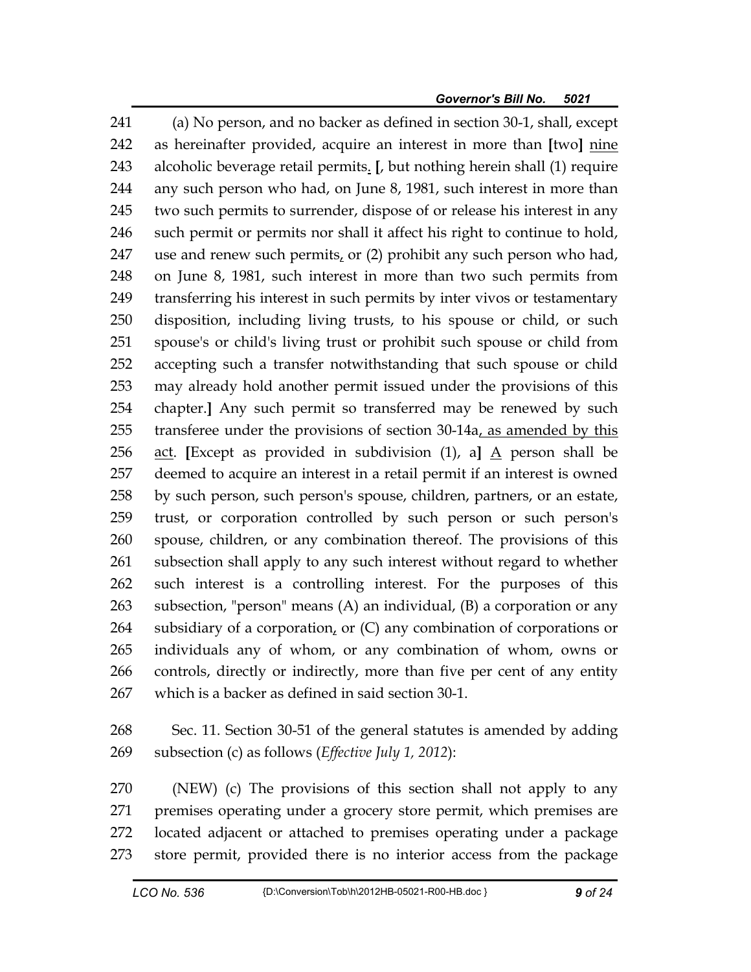241 (a) No person, and no backer as defined in section 30-1, shall, except 242 as hereinafter provided, acquire an interest in more than **[**two**]** nine 243 alcoholic beverage retail permits. **[**, but nothing herein shall (1) require 244 any such person who had, on June 8, 1981, such interest in more than 245 two such permits to surrender, dispose of or release his interest in any 246 such permit or permits nor shall it affect his right to continue to hold, 247 use and renew such permits, or  $(2)$  prohibit any such person who had, 248 on June 8, 1981, such interest in more than two such permits from 249 transferring his interest in such permits by inter vivos or testamentary 250 disposition, including living trusts, to his spouse or child, or such 251 spouse's or child's living trust or prohibit such spouse or child from 252 accepting such a transfer notwithstanding that such spouse or child 253 may already hold another permit issued under the provisions of this 254 chapter.**]** Any such permit so transferred may be renewed by such 255 transferee under the provisions of section 30-14a, as amended by this 256 act. **[**Except as provided in subdivision (1), a**]** A person shall be 257 deemed to acquire an interest in a retail permit if an interest is owned 258 by such person, such person's spouse, children, partners, or an estate, 259 trust, or corporation controlled by such person or such person's 260 spouse, children, or any combination thereof. The provisions of this 261 subsection shall apply to any such interest without regard to whether 262 such interest is a controlling interest. For the purposes of this 263 subsection, "person" means (A) an individual, (B) a corporation or any 264 subsidiary of a corporation, or (C) any combination of corporations or 265 individuals any of whom, or any combination of whom, owns or 266 controls, directly or indirectly, more than five per cent of any entity 267 which is a backer as defined in said section 30-1.

268 Sec. 11. Section 30-51 of the general statutes is amended by adding 269 subsection (c) as follows (*Effective July 1, 2012*):

270 (NEW) (c) The provisions of this section shall not apply to any 271 premises operating under a grocery store permit, which premises are 272 located adjacent or attached to premises operating under a package 273 store permit, provided there is no interior access from the package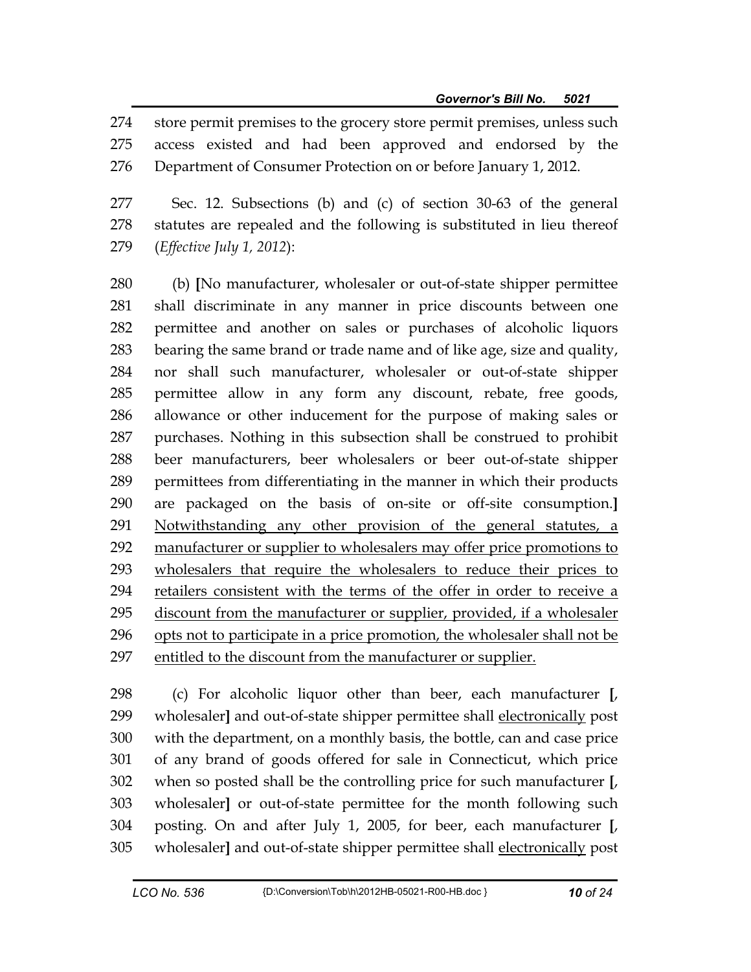274 store permit premises to the grocery store permit premises, unless such 275 access existed and had been approved and endorsed by the 276 Department of Consumer Protection on or before January 1, 2012.

277 Sec. 12. Subsections (b) and (c) of section 30-63 of the general 278 statutes are repealed and the following is substituted in lieu thereof 279 (*Effective July 1, 2012*):

280 (b) **[**No manufacturer, wholesaler or out-of-state shipper permittee 281 shall discriminate in any manner in price discounts between one 282 permittee and another on sales or purchases of alcoholic liquors 283 bearing the same brand or trade name and of like age, size and quality, 284 nor shall such manufacturer, wholesaler or out-of-state shipper 285 permittee allow in any form any discount, rebate, free goods, 286 allowance or other inducement for the purpose of making sales or 287 purchases. Nothing in this subsection shall be construed to prohibit 288 beer manufacturers, beer wholesalers or beer out-of-state shipper 289 permittees from differentiating in the manner in which their products 290 are packaged on the basis of on-site or off-site consumption.**]** 291 Notwithstanding any other provision of the general statutes, a 292 manufacturer or supplier to wholesalers may offer price promotions to 293 wholesalers that require the wholesalers to reduce their prices to 294 retailers consistent with the terms of the offer in order to receive a 295 discount from the manufacturer or supplier, provided, if a wholesaler 296 opts not to participate in a price promotion, the wholesaler shall not be 297 entitled to the discount from the manufacturer or supplier.

298 (c) For alcoholic liquor other than beer, each manufacturer **[**, 299 wholesaler**]** and out-of-state shipper permittee shall electronically post 300 with the department, on a monthly basis, the bottle, can and case price 301 of any brand of goods offered for sale in Connecticut, which price 302 when so posted shall be the controlling price for such manufacturer **[**, 303 wholesaler**]** or out-of-state permittee for the month following such 304 posting. On and after July 1, 2005, for beer, each manufacturer **[**, 305 wholesaler**]** and out-of-state shipper permittee shall electronically post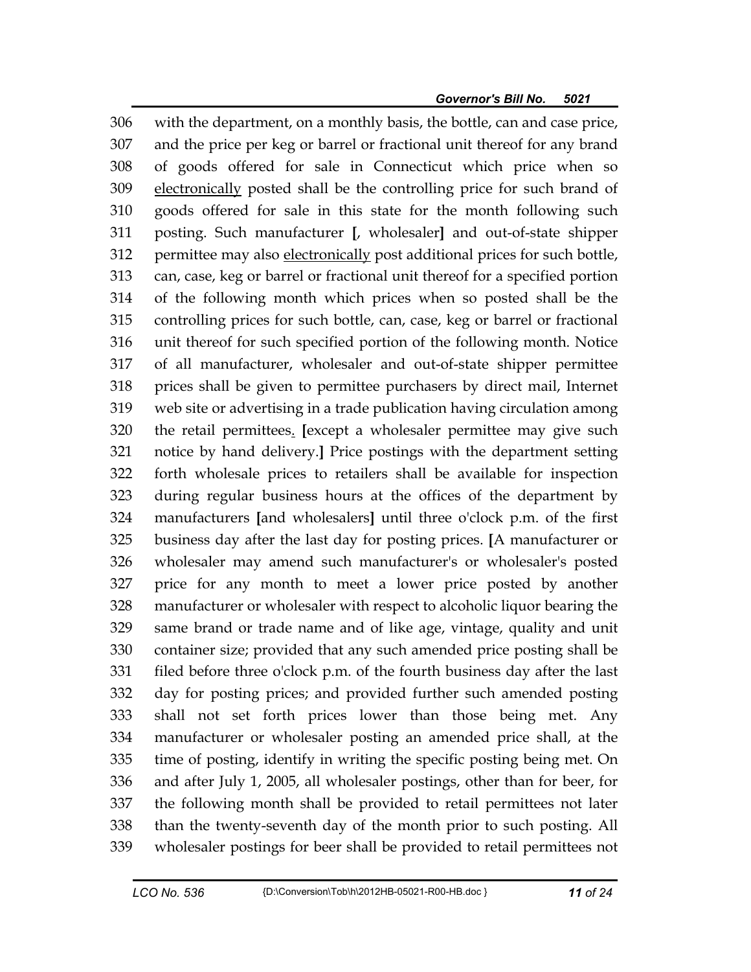306 with the department, on a monthly basis, the bottle, can and case price, 307 and the price per keg or barrel or fractional unit thereof for any brand 308 of goods offered for sale in Connecticut which price when so 309 electronically posted shall be the controlling price for such brand of 310 goods offered for sale in this state for the month following such 311 posting. Such manufacturer **[**, wholesaler**]** and out-of-state shipper 312 permittee may also electronically post additional prices for such bottle, 313 can, case, keg or barrel or fractional unit thereof for a specified portion 314 of the following month which prices when so posted shall be the 315 controlling prices for such bottle, can, case, keg or barrel or fractional 316 unit thereof for such specified portion of the following month. Notice 317 of all manufacturer, wholesaler and out-of-state shipper permittee 318 prices shall be given to permittee purchasers by direct mail, Internet 319 web site or advertising in a trade publication having circulation among 320 the retail permittees. **[**except a wholesaler permittee may give such 321 notice by hand delivery.**]** Price postings with the department setting 322 forth wholesale prices to retailers shall be available for inspection 323 during regular business hours at the offices of the department by 324 manufacturers **[**and wholesalers**]** until three o'clock p.m. of the first 325 business day after the last day for posting prices. **[**A manufacturer or 326 wholesaler may amend such manufacturer's or wholesaler's posted 327 price for any month to meet a lower price posted by another 328 manufacturer or wholesaler with respect to alcoholic liquor bearing the 329 same brand or trade name and of like age, vintage, quality and unit 330 container size; provided that any such amended price posting shall be 331 filed before three o'clock p.m. of the fourth business day after the last 332 day for posting prices; and provided further such amended posting 333 shall not set forth prices lower than those being met. Any 334 manufacturer or wholesaler posting an amended price shall, at the 335 time of posting, identify in writing the specific posting being met. On 336 and after July 1, 2005, all wholesaler postings, other than for beer, for 337 the following month shall be provided to retail permittees not later 338 than the twenty-seventh day of the month prior to such posting. All 339 wholesaler postings for beer shall be provided to retail permittees not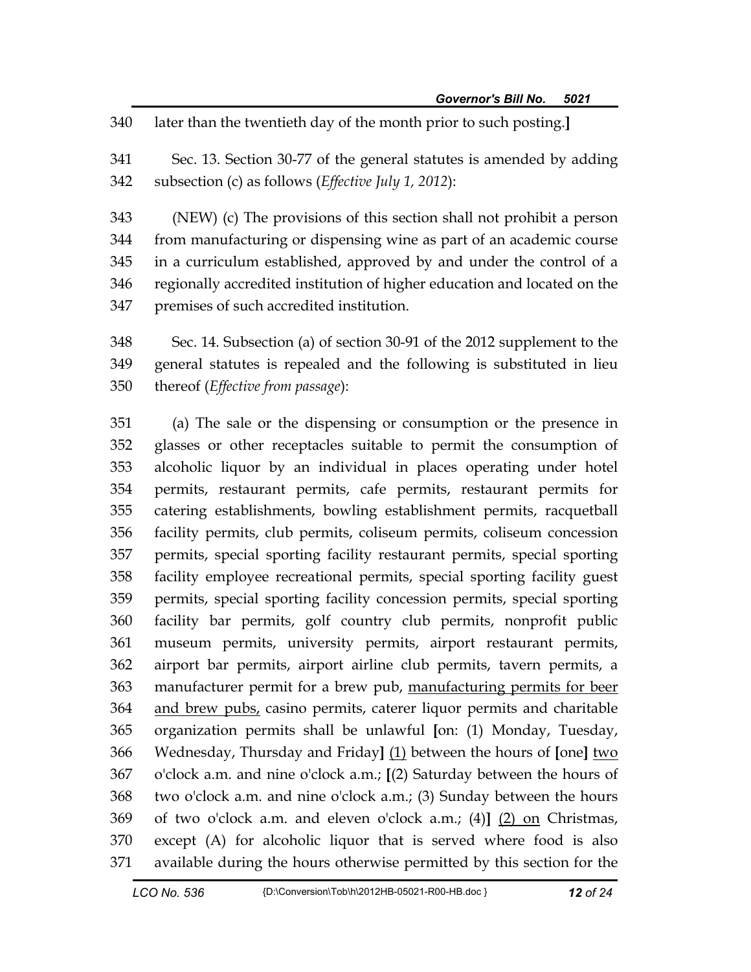340 later than the twentieth day of the month prior to such posting.**]**

341 Sec. 13. Section 30-77 of the general statutes is amended by adding 342 subsection (c) as follows (*Effective July 1, 2012*):

343 (NEW) (c) The provisions of this section shall not prohibit a person 344 from manufacturing or dispensing wine as part of an academic course 345 in a curriculum established, approved by and under the control of a 346 regionally accredited institution of higher education and located on the 347 premises of such accredited institution.

348 Sec. 14. Subsection (a) of section 30-91 of the 2012 supplement to the 349 general statutes is repealed and the following is substituted in lieu 350 thereof (*Effective from passage*):

351 (a) The sale or the dispensing or consumption or the presence in 352 glasses or other receptacles suitable to permit the consumption of 353 alcoholic liquor by an individual in places operating under hotel 354 permits, restaurant permits, cafe permits, restaurant permits for 355 catering establishments, bowling establishment permits, racquetball 356 facility permits, club permits, coliseum permits, coliseum concession 357 permits, special sporting facility restaurant permits, special sporting 358 facility employee recreational permits, special sporting facility guest 359 permits, special sporting facility concession permits, special sporting 360 facility bar permits, golf country club permits, nonprofit public 361 museum permits, university permits, airport restaurant permits, 362 airport bar permits, airport airline club permits, tavern permits, a 363 manufacturer permit for a brew pub, manufacturing permits for beer 364 and brew pubs, casino permits, caterer liquor permits and charitable 365 organization permits shall be unlawful **[**on: (1) Monday, Tuesday, 366 Wednesday, Thursday and Friday**]** (1) between the hours of **[**one**]** two 367 o'clock a.m. and nine o'clock a.m.; **[**(2) Saturday between the hours of 368 two o'clock a.m. and nine o'clock a.m.; (3) Sunday between the hours 369 of two o'clock a.m. and eleven o'clock a.m.; (4)**]** (2) on Christmas, 370 except (A) for alcoholic liquor that is served where food is also 371 available during the hours otherwise permitted by this section for the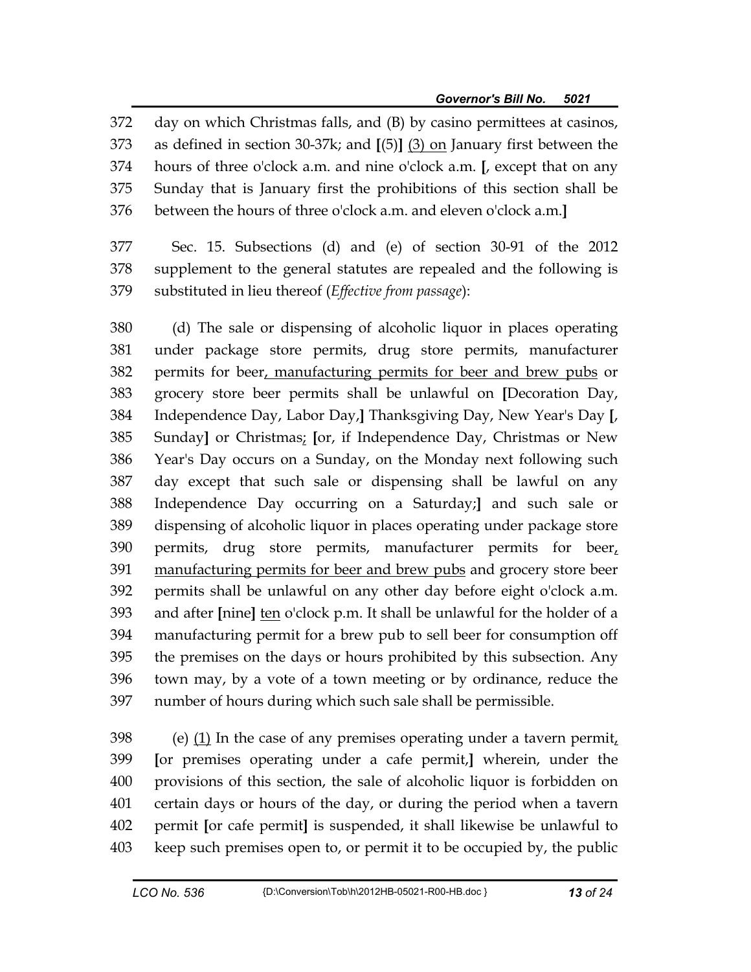372 day on which Christmas falls, and (B) by casino permittees at casinos, 373 as defined in section 30-37k; and **[**(5)**]** (3) on January first between the 374 hours of three o'clock a.m. and nine o'clock a.m. **[**, except that on any 375 Sunday that is January first the prohibitions of this section shall be 376 between the hours of three o'clock a.m. and eleven o'clock a.m.**]**

377 Sec. 15. Subsections (d) and (e) of section 30-91 of the 2012 378 supplement to the general statutes are repealed and the following is 379 substituted in lieu thereof (*Effective from passage*):

380 (d) The sale or dispensing of alcoholic liquor in places operating 381 under package store permits, drug store permits, manufacturer 382 permits for beer, manufacturing permits for beer and brew pubs or 383 grocery store beer permits shall be unlawful on **[**Decoration Day, 384 Independence Day, Labor Day,**]** Thanksgiving Day, New Year's Day **[**, 385 Sunday**]** or Christmas; **[**or, if Independence Day, Christmas or New 386 Year's Day occurs on a Sunday, on the Monday next following such 387 day except that such sale or dispensing shall be lawful on any 388 Independence Day occurring on a Saturday;**]** and such sale or 389 dispensing of alcoholic liquor in places operating under package store 390 permits, drug store permits, manufacturer permits for beer, 391 manufacturing permits for beer and brew pubs and grocery store beer 392 permits shall be unlawful on any other day before eight o'clock a.m. 393 and after **[**nine**]** ten o'clock p.m. It shall be unlawful for the holder of a 394 manufacturing permit for a brew pub to sell beer for consumption off 395 the premises on the days or hours prohibited by this subsection. Any 396 town may, by a vote of a town meeting or by ordinance, reduce the 397 number of hours during which such sale shall be permissible.

398 (e) (1) In the case of any premises operating under a tavern permit, 399 **[**or premises operating under a cafe permit,**]** wherein, under the 400 provisions of this section, the sale of alcoholic liquor is forbidden on 401 certain days or hours of the day, or during the period when a tavern 402 permit **[**or cafe permit**]** is suspended, it shall likewise be unlawful to 403 keep such premises open to, or permit it to be occupied by, the public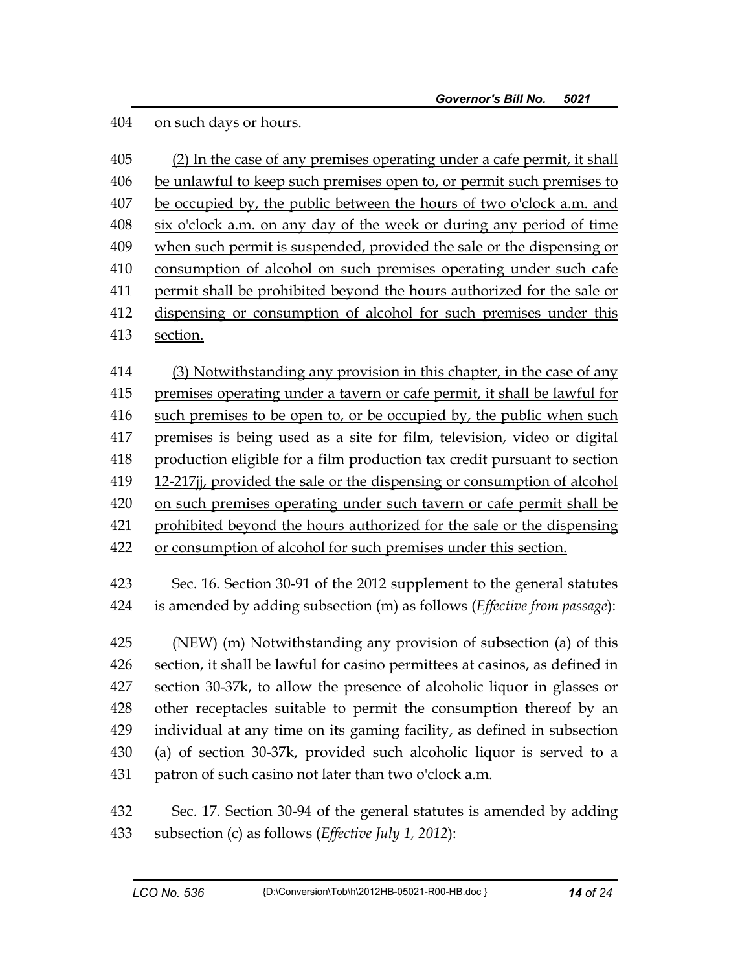404 on such days or hours.

| 405 | (2) In the case of any premises operating under a cafe permit, it shall     |
|-----|-----------------------------------------------------------------------------|
| 406 | be unlawful to keep such premises open to, or permit such premises to       |
| 407 | be occupied by, the public between the hours of two o'clock a.m. and        |
| 408 | six o'clock a.m. on any day of the week or during any period of time        |
| 409 | when such permit is suspended, provided the sale or the dispensing or       |
| 410 | consumption of alcohol on such premises operating under such cafe           |
| 411 | permit shall be prohibited beyond the hours authorized for the sale or      |
| 412 | dispensing or consumption of alcohol for such premises under this           |
| 413 | section.                                                                    |
| 414 | (3) Notwithstanding any provision in this chapter, in the case of any       |
| 415 | premises operating under a tavern or cafe permit, it shall be lawful for    |
| 416 | such premises to be open to, or be occupied by, the public when such        |
| 417 | premises is being used as a site for film, television, video or digital     |
| 418 | production eligible for a film production tax credit pursuant to section    |
| 419 | 12-217jj, provided the sale or the dispensing or consumption of alcohol     |
| 420 | on such premises operating under such tavern or cafe permit shall be        |
| 421 | prohibited beyond the hours authorized for the sale or the dispensing       |
| 422 | or consumption of alcohol for such premises under this section.             |
| 423 | Sec. 16. Section 30-91 of the 2012 supplement to the general statutes       |
| 424 | is amended by adding subsection (m) as follows (Effective from passage):    |
| 425 | (NEW) (m) Notwithstanding any provision of subsection (a) of this           |
| 426 | section, it shall be lawful for casino permittees at casinos, as defined in |
| 427 | section 30-37k, to allow the presence of alcoholic liquor in glasses or     |
| 428 | other receptacles suitable to permit the consumption thereof by an          |
| 429 | individual at any time on its gaming facility, as defined in subsection     |
| 430 | (a) of section 30-37k, provided such alcoholic liquor is served to a        |
| 431 | patron of such casino not later than two o'clock a.m.                       |
| 432 | Sec. 17. Section 30-94 of the general statutes is amended by adding         |
| 433 | subsection (c) as follows ( <i>Effective July 1</i> , 2012):                |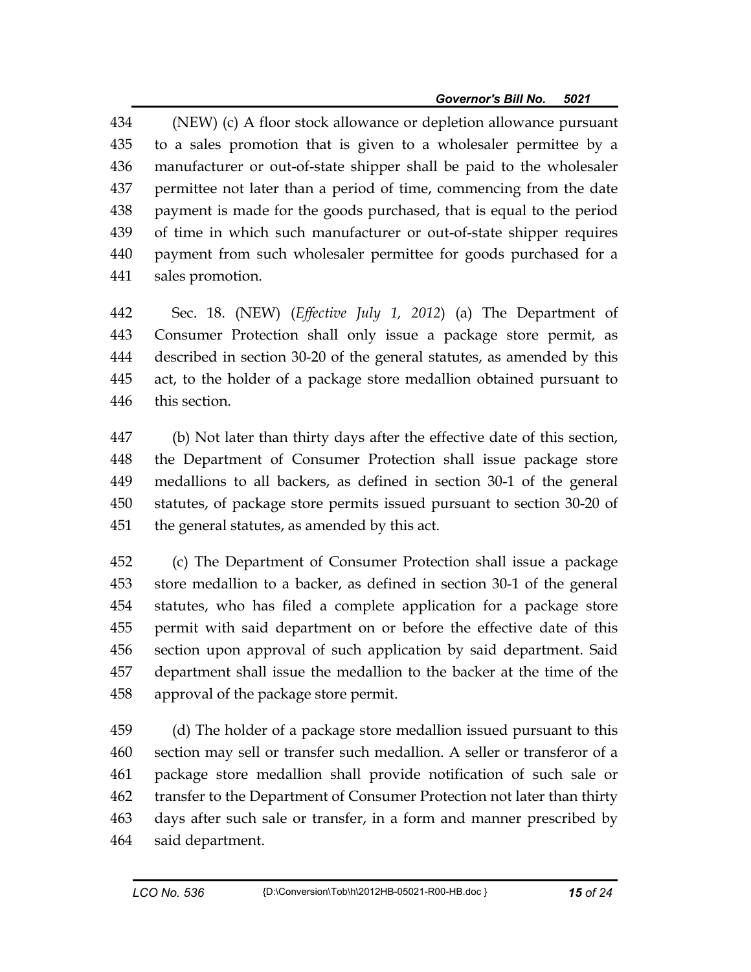434 (NEW) (c) A floor stock allowance or depletion allowance pursuant 435 to a sales promotion that is given to a wholesaler permittee by a 436 manufacturer or out-of-state shipper shall be paid to the wholesaler 437 permittee not later than a period of time, commencing from the date 438 payment is made for the goods purchased, that is equal to the period 439 of time in which such manufacturer or out-of-state shipper requires 440 payment from such wholesaler permittee for goods purchased for a 441 sales promotion.

442 Sec. 18. (NEW) (*Effective July 1, 2012*) (a) The Department of 443 Consumer Protection shall only issue a package store permit, as 444 described in section 30-20 of the general statutes, as amended by this 445 act, to the holder of a package store medallion obtained pursuant to 446 this section.

447 (b) Not later than thirty days after the effective date of this section, 448 the Department of Consumer Protection shall issue package store 449 medallions to all backers, as defined in section 30-1 of the general 450 statutes, of package store permits issued pursuant to section 30-20 of 451 the general statutes, as amended by this act.

452 (c) The Department of Consumer Protection shall issue a package 453 store medallion to a backer, as defined in section 30-1 of the general 454 statutes, who has filed a complete application for a package store 455 permit with said department on or before the effective date of this 456 section upon approval of such application by said department. Said 457 department shall issue the medallion to the backer at the time of the 458 approval of the package store permit.

459 (d) The holder of a package store medallion issued pursuant to this 460 section may sell or transfer such medallion. A seller or transferor of a 461 package store medallion shall provide notification of such sale or 462 transfer to the Department of Consumer Protection not later than thirty 463 days after such sale or transfer, in a form and manner prescribed by 464 said department.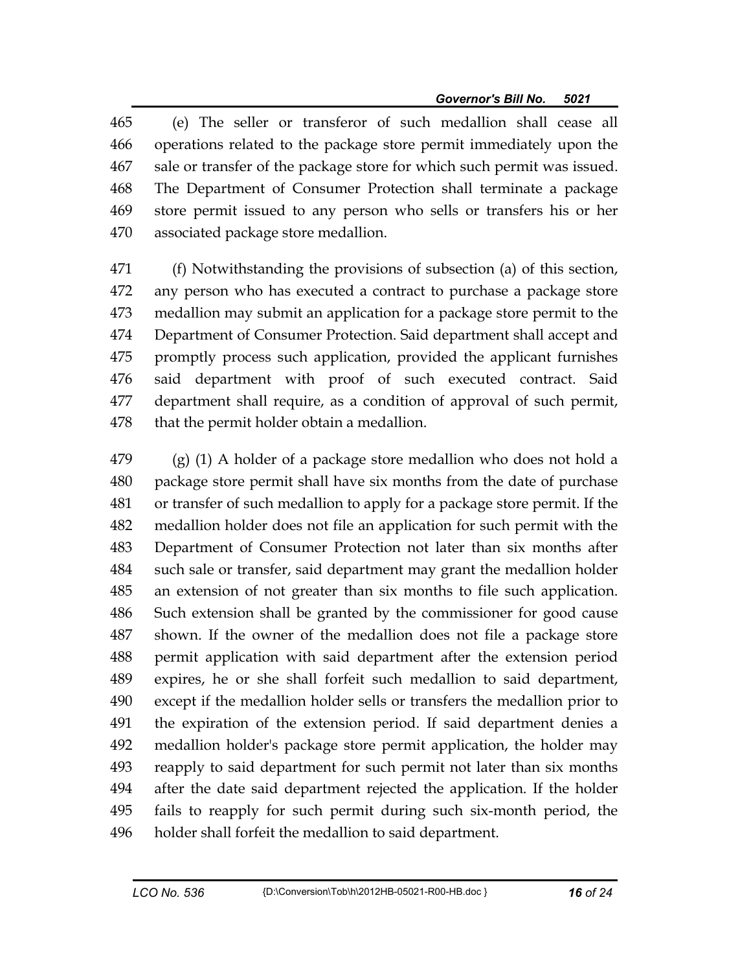465 (e) The seller or transferor of such medallion shall cease all 466 operations related to the package store permit immediately upon the 467 sale or transfer of the package store for which such permit was issued. 468 The Department of Consumer Protection shall terminate a package 469 store permit issued to any person who sells or transfers his or her 470 associated package store medallion.

471 (f) Notwithstanding the provisions of subsection (a) of this section, 472 any person who has executed a contract to purchase a package store 473 medallion may submit an application for a package store permit to the 474 Department of Consumer Protection. Said department shall accept and 475 promptly process such application, provided the applicant furnishes 476 said department with proof of such executed contract. Said 477 department shall require, as a condition of approval of such permit, 478 that the permit holder obtain a medallion.

479 (g) (1) A holder of a package store medallion who does not hold a 480 package store permit shall have six months from the date of purchase 481 or transfer of such medallion to apply for a package store permit. If the 482 medallion holder does not file an application for such permit with the 483 Department of Consumer Protection not later than six months after 484 such sale or transfer, said department may grant the medallion holder 485 an extension of not greater than six months to file such application. 486 Such extension shall be granted by the commissioner for good cause 487 shown. If the owner of the medallion does not file a package store 488 permit application with said department after the extension period 489 expires, he or she shall forfeit such medallion to said department, 490 except if the medallion holder sells or transfers the medallion prior to 491 the expiration of the extension period. If said department denies a 492 medallion holder's package store permit application, the holder may 493 reapply to said department for such permit not later than six months 494 after the date said department rejected the application. If the holder 495 fails to reapply for such permit during such six-month period, the 496 holder shall forfeit the medallion to said department.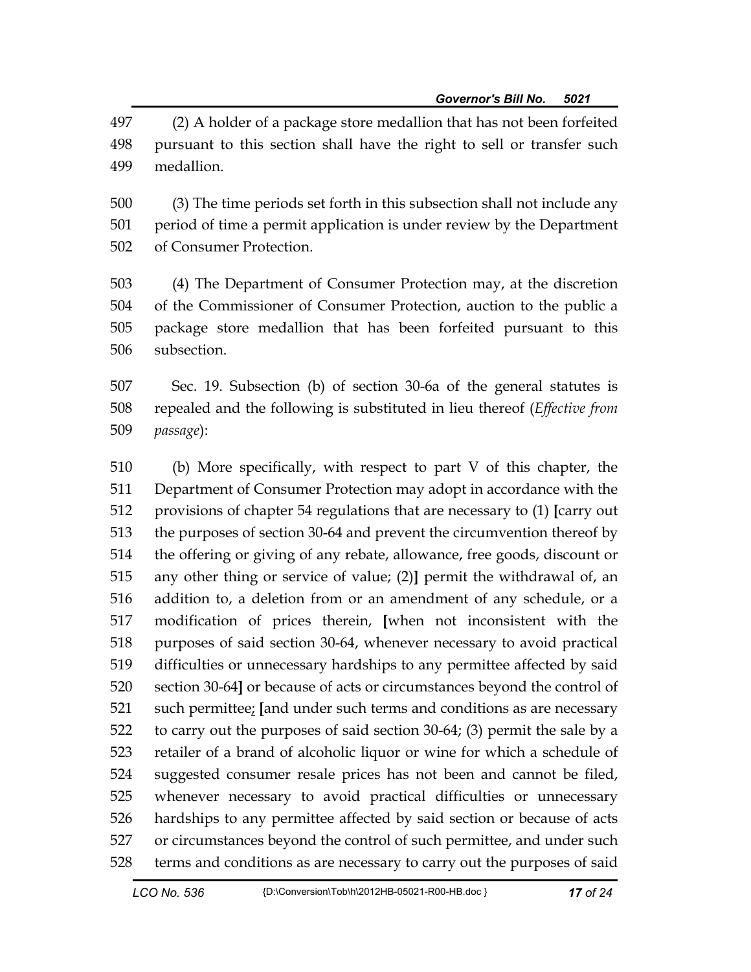497 (2) A holder of a package store medallion that has not been forfeited 498 pursuant to this section shall have the right to sell or transfer such 499 medallion.

500 (3) The time periods set forth in this subsection shall not include any 501 period of time a permit application is under review by the Department 502 of Consumer Protection.

503 (4) The Department of Consumer Protection may, at the discretion 504 of the Commissioner of Consumer Protection, auction to the public a 505 package store medallion that has been forfeited pursuant to this 506 subsection.

507 Sec. 19. Subsection (b) of section 30-6a of the general statutes is 508 repealed and the following is substituted in lieu thereof (*Effective from*  509 *passage*):

510 (b) More specifically, with respect to part V of this chapter, the 511 Department of Consumer Protection may adopt in accordance with the 512 provisions of chapter 54 regulations that are necessary to (1) **[**carry out 513 the purposes of section 30-64 and prevent the circumvention thereof by 514 the offering or giving of any rebate, allowance, free goods, discount or 515 any other thing or service of value; (2)**]** permit the withdrawal of, an 516 addition to, a deletion from or an amendment of any schedule, or a 517 modification of prices therein, **[**when not inconsistent with the 518 purposes of said section 30-64, whenever necessary to avoid practical 519 difficulties or unnecessary hardships to any permittee affected by said 520 section 30-64**]** or because of acts or circumstances beyond the control of 521 such permittee; **[**and under such terms and conditions as are necessary 522 to carry out the purposes of said section 30-64; (3) permit the sale by a 523 retailer of a brand of alcoholic liquor or wine for which a schedule of 524 suggested consumer resale prices has not been and cannot be filed, 525 whenever necessary to avoid practical difficulties or unnecessary 526 hardships to any permittee affected by said section or because of acts 527 or circumstances beyond the control of such permittee, and under such 528 terms and conditions as are necessary to carry out the purposes of said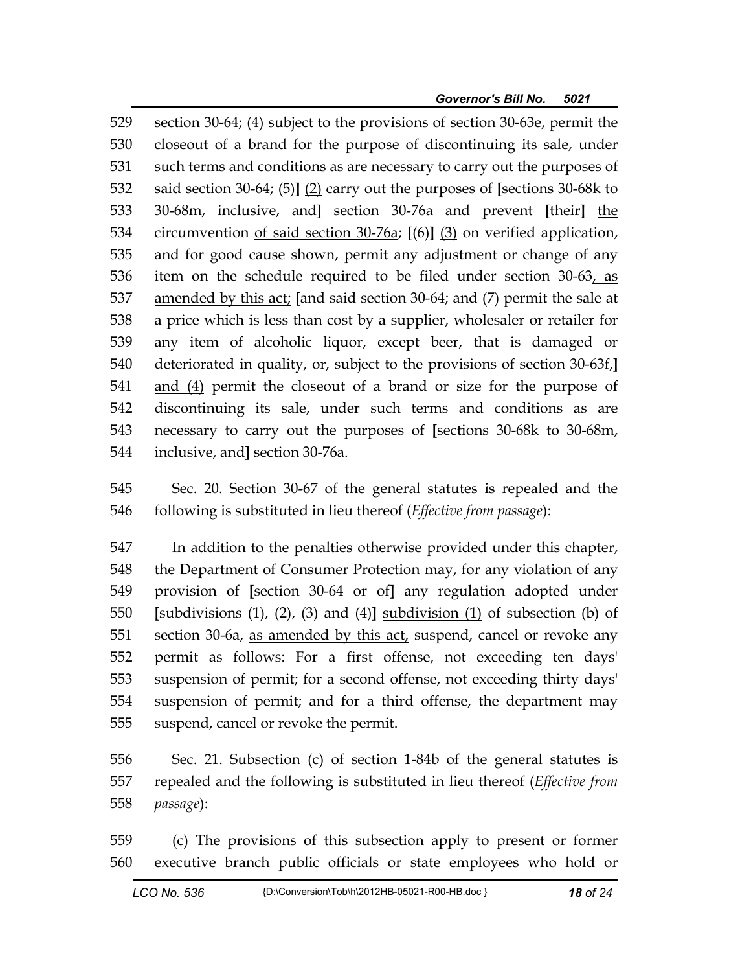529 section 30-64; (4) subject to the provisions of section 30-63e, permit the 530 closeout of a brand for the purpose of discontinuing its sale, under 531 such terms and conditions as are necessary to carry out the purposes of 532 said section 30-64; (5)**]** (2) carry out the purposes of **[**sections 30-68k to 533 30-68m, inclusive, and**]** section 30-76a and prevent **[**their**]** the 534 circumvention of said section 30-76a; **[**(6)**]** (3) on verified application, 535 and for good cause shown, permit any adjustment or change of any 536 item on the schedule required to be filed under section  $30-63$ , as 537 amended by this act; **[**and said section 30-64; and (7) permit the sale at 538 a price which is less than cost by a supplier, wholesaler or retailer for 539 any item of alcoholic liquor, except beer, that is damaged or 540 deteriorated in quality, or, subject to the provisions of section 30-63f,**]** 541 and (4) permit the closeout of a brand or size for the purpose of 542 discontinuing its sale, under such terms and conditions as are 543 necessary to carry out the purposes of **[**sections 30-68k to 30-68m, 544 inclusive, and**]** section 30-76a.

545 Sec. 20. Section 30-67 of the general statutes is repealed and the 546 following is substituted in lieu thereof (*Effective from passage*):

547 In addition to the penalties otherwise provided under this chapter, 548 the Department of Consumer Protection may, for any violation of any 549 provision of **[**section 30-64 or of**]** any regulation adopted under 550 **[**subdivisions (1), (2), (3) and (4)**]** subdivision (1) of subsection (b) of 551 section 30-6a, as amended by this act, suspend, cancel or revoke any 552 permit as follows: For a first offense, not exceeding ten days' 553 suspension of permit; for a second offense, not exceeding thirty days' 554 suspension of permit; and for a third offense, the department may 555 suspend, cancel or revoke the permit.

556 Sec. 21. Subsection (c) of section 1-84b of the general statutes is 557 repealed and the following is substituted in lieu thereof (*Effective from*  558 *passage*):

559 (c) The provisions of this subsection apply to present or former 560 executive branch public officials or state employees who hold or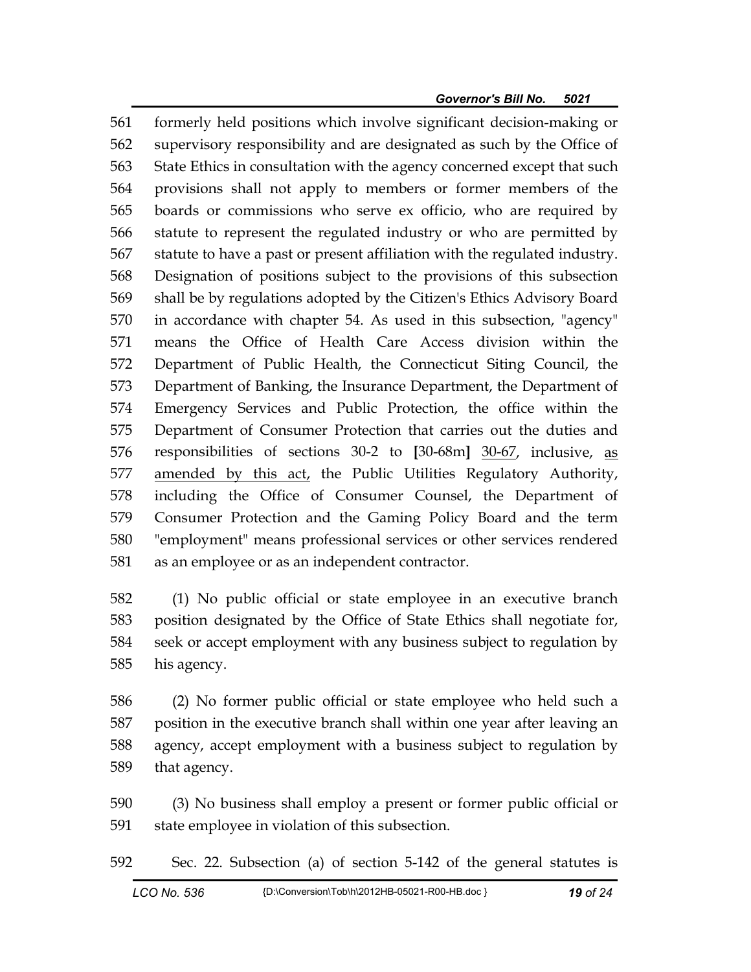561 formerly held positions which involve significant decision-making or 562 supervisory responsibility and are designated as such by the Office of 563 State Ethics in consultation with the agency concerned except that such 564 provisions shall not apply to members or former members of the 565 boards or commissions who serve ex officio, who are required by 566 statute to represent the regulated industry or who are permitted by 567 statute to have a past or present affiliation with the regulated industry. 568 Designation of positions subject to the provisions of this subsection 569 shall be by regulations adopted by the Citizen's Ethics Advisory Board 570 in accordance with chapter 54. As used in this subsection, "agency" 571 means the Office of Health Care Access division within the 572 Department of Public Health, the Connecticut Siting Council, the 573 Department of Banking, the Insurance Department, the Department of 574 Emergency Services and Public Protection, the office within the 575 Department of Consumer Protection that carries out the duties and 576 responsibilities of sections 30-2 to **[**30-68m**]** 30-67, inclusive, as 577 amended by this act, the Public Utilities Regulatory Authority, 578 including the Office of Consumer Counsel, the Department of 579 Consumer Protection and the Gaming Policy Board and the term 580 "employment" means professional services or other services rendered 581 as an employee or as an independent contractor.

582 (1) No public official or state employee in an executive branch 583 position designated by the Office of State Ethics shall negotiate for, 584 seek or accept employment with any business subject to regulation by 585 his agency.

586 (2) No former public official or state employee who held such a 587 position in the executive branch shall within one year after leaving an 588 agency, accept employment with a business subject to regulation by 589 that agency.

590 (3) No business shall employ a present or former public official or 591 state employee in violation of this subsection.

592 Sec. 22. Subsection (a) of section 5-142 of the general statutes is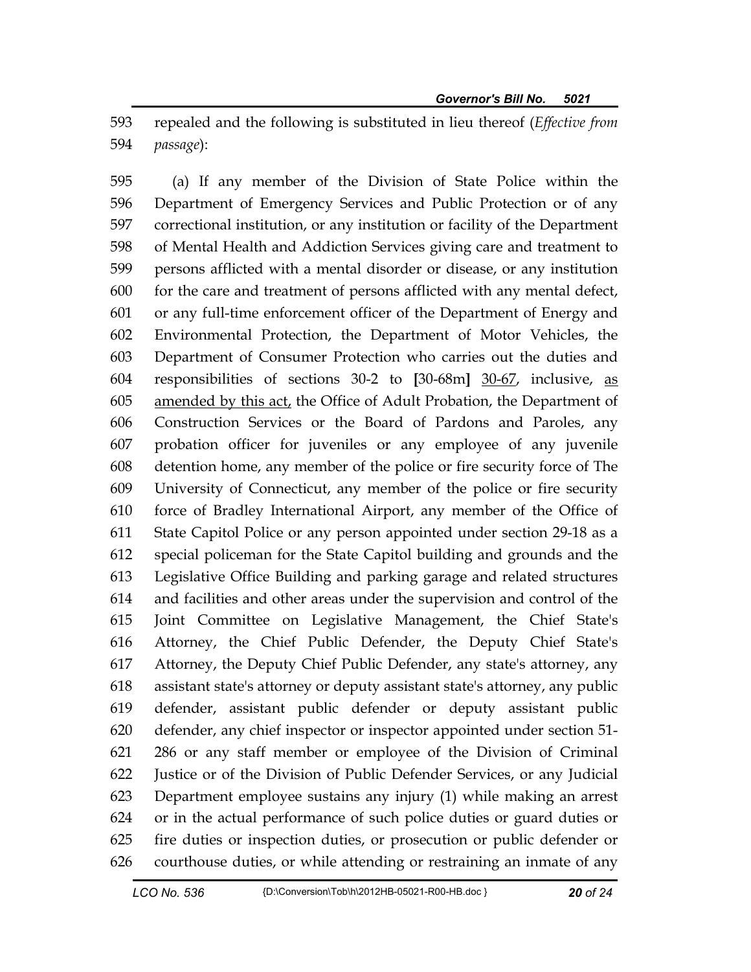593 repealed and the following is substituted in lieu thereof (*Effective from*  594 *passage*):

595 (a) If any member of the Division of State Police within the 596 Department of Emergency Services and Public Protection or of any 597 correctional institution, or any institution or facility of the Department 598 of Mental Health and Addiction Services giving care and treatment to 599 persons afflicted with a mental disorder or disease, or any institution 600 for the care and treatment of persons afflicted with any mental defect, 601 or any full-time enforcement officer of the Department of Energy and 602 Environmental Protection, the Department of Motor Vehicles, the 603 Department of Consumer Protection who carries out the duties and 604 responsibilities of sections 30-2 to **[**30-68m**]** 30-67, inclusive, as 605 amended by this act, the Office of Adult Probation, the Department of 606 Construction Services or the Board of Pardons and Paroles, any 607 probation officer for juveniles or any employee of any juvenile 608 detention home, any member of the police or fire security force of The 609 University of Connecticut, any member of the police or fire security 610 force of Bradley International Airport, any member of the Office of 611 State Capitol Police or any person appointed under section 29-18 as a 612 special policeman for the State Capitol building and grounds and the 613 Legislative Office Building and parking garage and related structures 614 and facilities and other areas under the supervision and control of the 615 Joint Committee on Legislative Management, the Chief State's 616 Attorney, the Chief Public Defender, the Deputy Chief State's 617 Attorney, the Deputy Chief Public Defender, any state's attorney, any 618 assistant state's attorney or deputy assistant state's attorney, any public 619 defender, assistant public defender or deputy assistant public 620 defender, any chief inspector or inspector appointed under section 51- 621 286 or any staff member or employee of the Division of Criminal 622 Justice or of the Division of Public Defender Services, or any Judicial 623 Department employee sustains any injury (1) while making an arrest 624 or in the actual performance of such police duties or guard duties or 625 fire duties or inspection duties, or prosecution or public defender or 626 courthouse duties, or while attending or restraining an inmate of any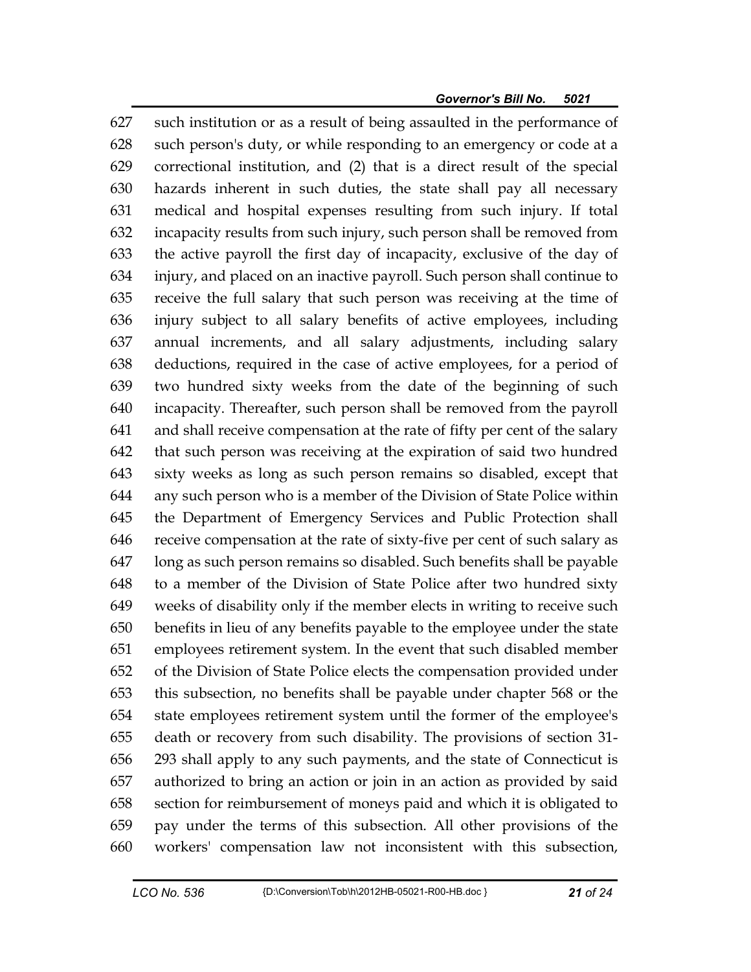627 such institution or as a result of being assaulted in the performance of 628 such person's duty, or while responding to an emergency or code at a 629 correctional institution, and (2) that is a direct result of the special 630 hazards inherent in such duties, the state shall pay all necessary 631 medical and hospital expenses resulting from such injury. If total 632 incapacity results from such injury, such person shall be removed from 633 the active payroll the first day of incapacity, exclusive of the day of 634 injury, and placed on an inactive payroll. Such person shall continue to 635 receive the full salary that such person was receiving at the time of 636 injury subject to all salary benefits of active employees, including 637 annual increments, and all salary adjustments, including salary 638 deductions, required in the case of active employees, for a period of 639 two hundred sixty weeks from the date of the beginning of such 640 incapacity. Thereafter, such person shall be removed from the payroll 641 and shall receive compensation at the rate of fifty per cent of the salary 642 that such person was receiving at the expiration of said two hundred 643 sixty weeks as long as such person remains so disabled, except that 644 any such person who is a member of the Division of State Police within 645 the Department of Emergency Services and Public Protection shall 646 receive compensation at the rate of sixty-five per cent of such salary as 647 long as such person remains so disabled. Such benefits shall be payable 648 to a member of the Division of State Police after two hundred sixty 649 weeks of disability only if the member elects in writing to receive such 650 benefits in lieu of any benefits payable to the employee under the state 651 employees retirement system. In the event that such disabled member 652 of the Division of State Police elects the compensation provided under 653 this subsection, no benefits shall be payable under chapter 568 or the 654 state employees retirement system until the former of the employee's 655 death or recovery from such disability. The provisions of section 31- 656 293 shall apply to any such payments, and the state of Connecticut is 657 authorized to bring an action or join in an action as provided by said 658 section for reimbursement of moneys paid and which it is obligated to 659 pay under the terms of this subsection. All other provisions of the 660 workers' compensation law not inconsistent with this subsection,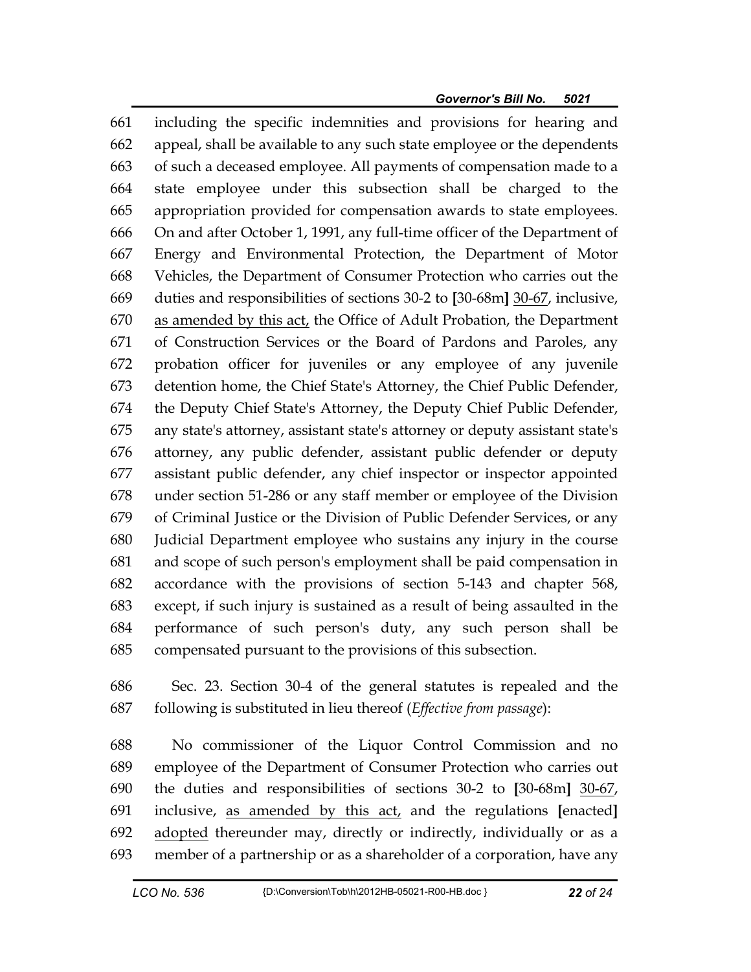661 including the specific indemnities and provisions for hearing and 662 appeal, shall be available to any such state employee or the dependents 663 of such a deceased employee. All payments of compensation made to a 664 state employee under this subsection shall be charged to the 665 appropriation provided for compensation awards to state employees. 666 On and after October 1, 1991, any full-time officer of the Department of 667 Energy and Environmental Protection, the Department of Motor 668 Vehicles, the Department of Consumer Protection who carries out the 669 duties and responsibilities of sections 30-2 to **[**30-68m**]** 30-67, inclusive, 670 as amended by this act, the Office of Adult Probation, the Department 671 of Construction Services or the Board of Pardons and Paroles, any 672 probation officer for juveniles or any employee of any juvenile 673 detention home, the Chief State's Attorney, the Chief Public Defender, 674 the Deputy Chief State's Attorney, the Deputy Chief Public Defender, 675 any state's attorney, assistant state's attorney or deputy assistant state's 676 attorney, any public defender, assistant public defender or deputy 677 assistant public defender, any chief inspector or inspector appointed 678 under section 51-286 or any staff member or employee of the Division 679 of Criminal Justice or the Division of Public Defender Services, or any 680 Judicial Department employee who sustains any injury in the course 681 and scope of such person's employment shall be paid compensation in 682 accordance with the provisions of section 5-143 and chapter 568, 683 except, if such injury is sustained as a result of being assaulted in the 684 performance of such person's duty, any such person shall be 685 compensated pursuant to the provisions of this subsection.

686 Sec. 23. Section 30-4 of the general statutes is repealed and the 687 following is substituted in lieu thereof (*Effective from passage*):

688 No commissioner of the Liquor Control Commission and no 689 employee of the Department of Consumer Protection who carries out 690 the duties and responsibilities of sections 30-2 to **[**30-68m**]** 30-67, 691 inclusive, as amended by this act, and the regulations **[**enacted**]** 692 adopted thereunder may, directly or indirectly, individually or as a 693 member of a partnership or as a shareholder of a corporation, have any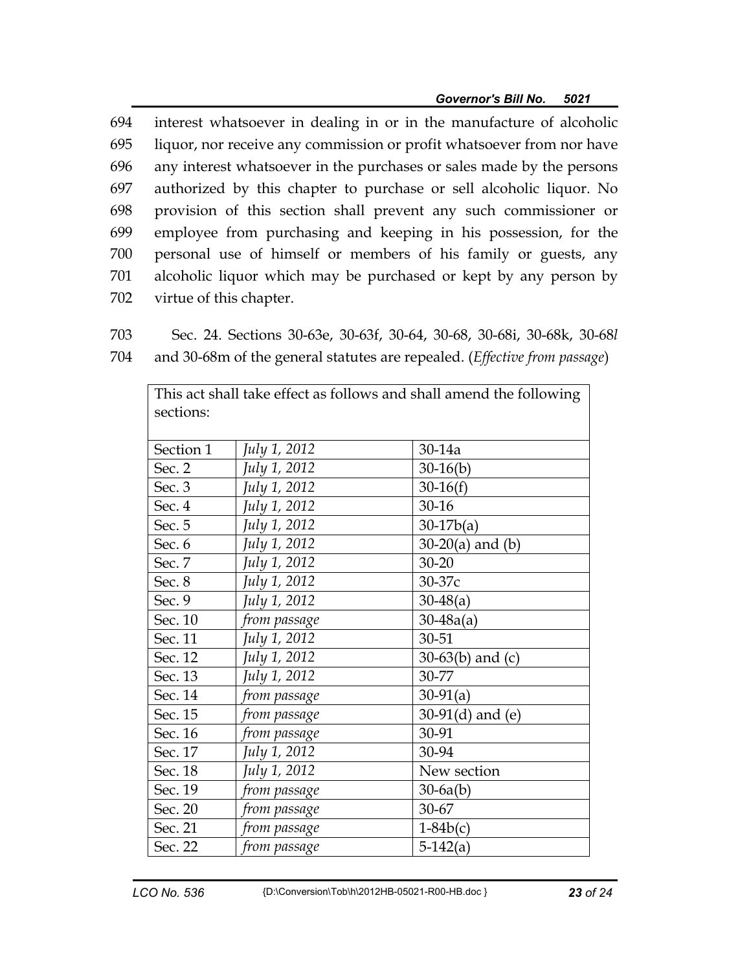694 interest whatsoever in dealing in or in the manufacture of alcoholic 695 liquor, nor receive any commission or profit whatsoever from nor have 696 any interest whatsoever in the purchases or sales made by the persons 697 authorized by this chapter to purchase or sell alcoholic liquor. No 698 provision of this section shall prevent any such commissioner or 699 employee from purchasing and keeping in his possession, for the 700 personal use of himself or members of his family or guests, any 701 alcoholic liquor which may be purchased or kept by any person by 702 virtue of this chapter.

703 Sec. 24. Sections 30-63e, 30-63f, 30-64, 30-68, 30-68i, 30-68k, 30-68*l* 704 and 30-68m of the general statutes are repealed. (*Effective from passage*)

| sections: |              |                       |
|-----------|--------------|-----------------------|
| Section 1 | July 1, 2012 | $30-14a$              |
| Sec. 2    | July 1, 2012 | $30-16(b)$            |
| Sec. 3    | July 1, 2012 | $30-16(f)$            |
| Sec. 4    | July 1, 2012 | $30 - 16$             |
| Sec. 5    | July 1, 2012 | $30-17b(a)$           |
| Sec. 6    | July 1, 2012 | $30-20(a)$ and (b)    |
| Sec. 7    | July 1, 2012 | $30 - 20$             |
| Sec. 8    | July 1, 2012 | 30-37c                |
| Sec. 9    | July 1, 2012 | $30-48(a)$            |
| Sec. 10   | from passage | $30 - 48a(a)$         |
| Sec. 11   | July 1, 2012 | 30-51                 |
| Sec. 12   | July 1, 2012 | 30-63 $(b)$ and $(c)$ |
| Sec. 13   | July 1, 2012 | 30-77                 |
| Sec. 14   | from passage | $30-91(a)$            |
| Sec. 15   | from passage | 30-91 $(d)$ and $(e)$ |
| Sec. 16   | from passage | 30-91                 |
| Sec. 17   | July 1, 2012 | 30-94                 |
| Sec. 18   | July 1, 2012 | New section           |
| Sec. 19   | from passage | $30-6a(b)$            |
| Sec. 20   | from passage | 30-67                 |
| Sec. 21   | from passage | $1-84b(c)$            |
| Sec. 22   | from passage | $5-142(a)$            |

This act shall take effect as follows and shall amend the following